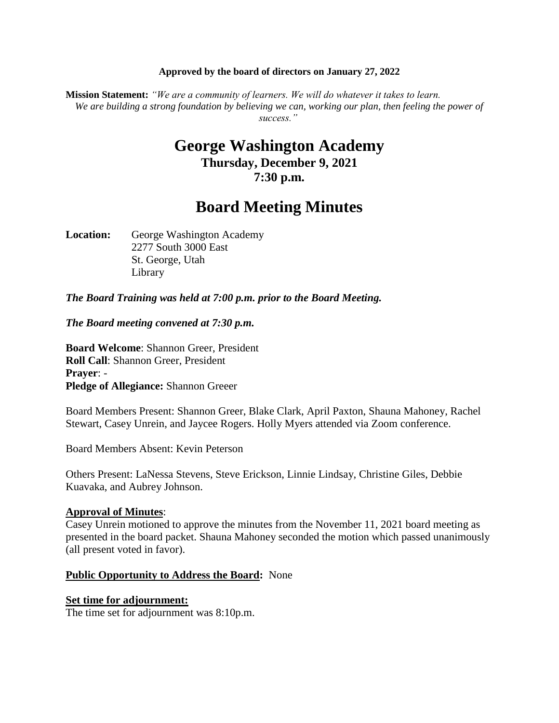#### **Approved by the board of directors on January 27, 2022**

**Mission Statement:** *"We are a community of learners. We will do whatever it takes to learn. We are building a strong foundation by believing we can, working our plan, then feeling the power of success."*

# **George Washington Academy Thursday, December 9, 2021 7:30 p.m.**

# **Board Meeting Minutes**

Location: George Washington Academy 2277 South 3000 East St. George, Utah Library

*The Board Training was held at 7:00 p.m. prior to the Board Meeting.*

*The Board meeting convened at 7:30 p.m.*

**Board Welcome**: Shannon Greer, President **Roll Call**: Shannon Greer, President **Prayer**: - **Pledge of Allegiance:** Shannon Greeer

Board Members Present: Shannon Greer, Blake Clark, April Paxton, Shauna Mahoney, Rachel Stewart, Casey Unrein, and Jaycee Rogers. Holly Myers attended via Zoom conference.

Board Members Absent: Kevin Peterson

Others Present: LaNessa Stevens, Steve Erickson, Linnie Lindsay, Christine Giles, Debbie Kuavaka, and Aubrey Johnson.

#### **Approval of Minutes**:

Casey Unrein motioned to approve the minutes from the November 11, 2021 board meeting as presented in the board packet. Shauna Mahoney seconded the motion which passed unanimously (all present voted in favor).

## **Public Opportunity to Address the Board:** None

#### **Set time for adjournment:**

The time set for adjournment was 8:10p.m.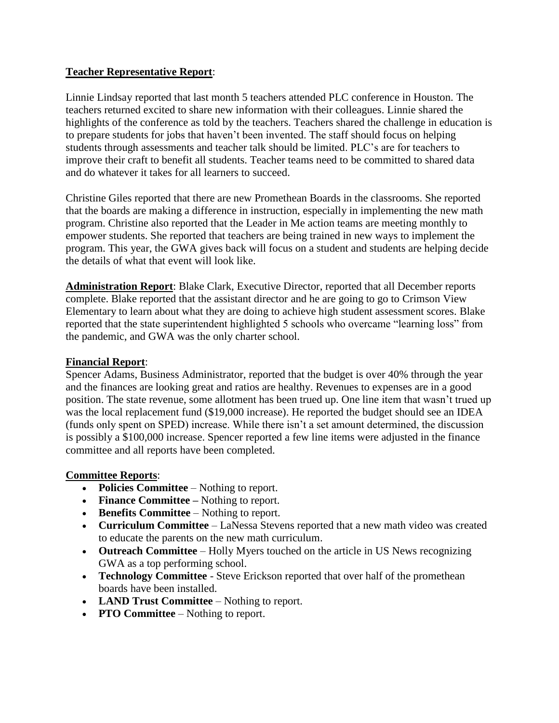## **Teacher Representative Report**:

Linnie Lindsay reported that last month 5 teachers attended PLC conference in Houston. The teachers returned excited to share new information with their colleagues. Linnie shared the highlights of the conference as told by the teachers. Teachers shared the challenge in education is to prepare students for jobs that haven't been invented. The staff should focus on helping students through assessments and teacher talk should be limited. PLC's are for teachers to improve their craft to benefit all students. Teacher teams need to be committed to shared data and do whatever it takes for all learners to succeed.

Christine Giles reported that there are new Promethean Boards in the classrooms. She reported that the boards are making a difference in instruction, especially in implementing the new math program. Christine also reported that the Leader in Me action teams are meeting monthly to empower students. She reported that teachers are being trained in new ways to implement the program. This year, the GWA gives back will focus on a student and students are helping decide the details of what that event will look like.

**Administration Report**: Blake Clark, Executive Director, reported that all December reports complete. Blake reported that the assistant director and he are going to go to Crimson View Elementary to learn about what they are doing to achieve high student assessment scores. Blake reported that the state superintendent highlighted 5 schools who overcame "learning loss" from the pandemic, and GWA was the only charter school.

## **Financial Report**:

Spencer Adams, Business Administrator, reported that the budget is over 40% through the year and the finances are looking great and ratios are healthy. Revenues to expenses are in a good position. The state revenue, some allotment has been trued up. One line item that wasn't trued up was the local replacement fund (\$19,000 increase). He reported the budget should see an IDEA (funds only spent on SPED) increase. While there isn't a set amount determined, the discussion is possibly a \$100,000 increase. Spencer reported a few line items were adjusted in the finance committee and all reports have been completed.

## **Committee Reports**:

- **Policies Committee** Nothing to report.
- Finance Committee Nothing to report.
- **Benefits Committee** Nothing to report.
- **Curriculum Committee**  LaNessa Stevens reported that a new math video was created to educate the parents on the new math curriculum.
- **Outreach Committee** Holly Myers touched on the article in US News recognizing GWA as a top performing school.
- **Technology Committee** Steve Erickson reported that over half of the promethean boards have been installed.
- **LAND Trust Committee** Nothing to report.
- **PTO Committee** Nothing to report.